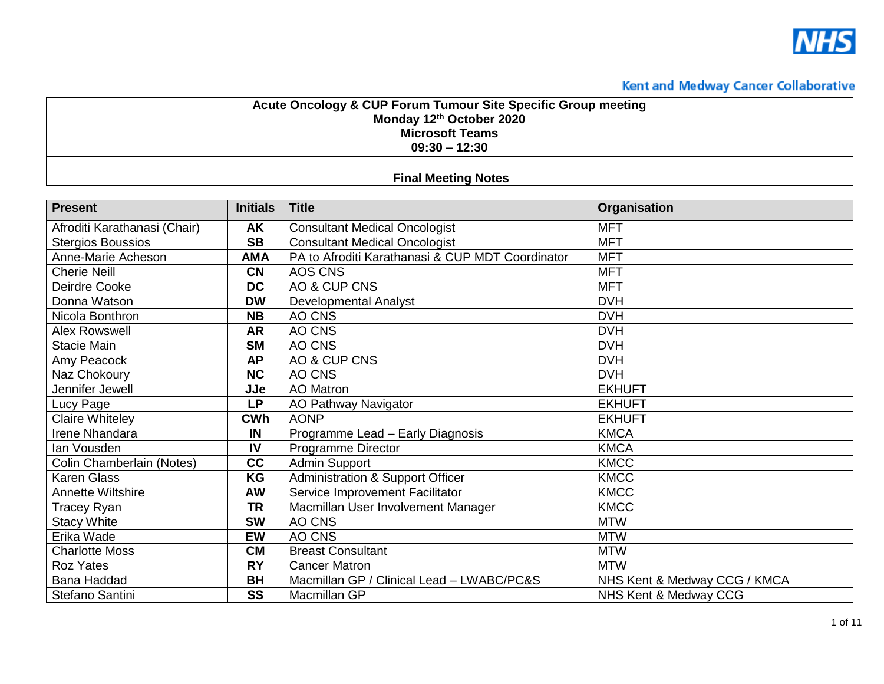

#### **Acute Oncology & CUP Forum Tumour Site Specific Group meeting Monday 12th October 2020 Microsoft Teams 09:30 – 12:30**

#### **Final Meeting Notes**

| <b>Present</b>               | <b>Initials</b> | <b>Title</b>                                     | <b>Organisation</b>          |
|------------------------------|-----------------|--------------------------------------------------|------------------------------|
| Afroditi Karathanasi (Chair) | <b>AK</b>       | <b>Consultant Medical Oncologist</b>             | <b>MFT</b>                   |
| <b>Stergios Boussios</b>     | <b>SB</b>       | <b>Consultant Medical Oncologist</b>             | <b>MFT</b>                   |
| Anne-Marie Acheson           | <b>AMA</b>      | PA to Afroditi Karathanasi & CUP MDT Coordinator | <b>MFT</b>                   |
| <b>Cherie Neill</b>          | <b>CN</b>       | AOS CNS                                          | <b>MFT</b>                   |
| Deirdre Cooke                | <b>DC</b>       | AO & CUP CNS                                     | <b>MFT</b>                   |
| Donna Watson                 | <b>DW</b>       | <b>Developmental Analyst</b>                     | <b>DVH</b>                   |
| Nicola Bonthron              | <b>NB</b>       | AO CNS                                           | <b>DVH</b>                   |
| <b>Alex Rowswell</b>         | <b>AR</b>       | AO CNS                                           | <b>DVH</b>                   |
| <b>Stacie Main</b>           | <b>SM</b>       | AO CNS                                           | <b>DVH</b>                   |
| Amy Peacock                  | <b>AP</b>       | AO & CUP CNS                                     | <b>DVH</b>                   |
| Naz Chokoury                 | NC              | AO CNS                                           | <b>DVH</b>                   |
| Jennifer Jewell              | JJe             | <b>AO</b> Matron                                 | <b>EKHUFT</b>                |
| Lucy Page                    | <b>LP</b>       | AO Pathway Navigator                             | <b>EKHUFT</b>                |
| Claire Whiteley              | <b>CWh</b>      | <b>AONP</b>                                      | <b>EKHUFT</b>                |
| <b>Irene Nhandara</b>        | IN              | Programme Lead - Early Diagnosis                 | <b>KMCA</b>                  |
| lan Vousden                  | IV              | Programme Director                               | <b>KMCA</b>                  |
| Colin Chamberlain (Notes)    | cc              | <b>Admin Support</b>                             | <b>KMCC</b>                  |
| <b>Karen Glass</b>           | KG              | <b>Administration &amp; Support Officer</b>      | <b>KMCC</b>                  |
| <b>Annette Wiltshire</b>     | <b>AW</b>       | Service Improvement Facilitator                  | <b>KMCC</b>                  |
| <b>Tracey Ryan</b>           | <b>TR</b>       | Macmillan User Involvement Manager               | <b>KMCC</b>                  |
| <b>Stacy White</b>           | <b>SW</b>       | AO CNS                                           | <b>MTW</b>                   |
| Erika Wade                   | <b>EW</b>       | AO CNS                                           | <b>MTW</b>                   |
| <b>Charlotte Moss</b>        | <b>CM</b>       | <b>Breast Consultant</b>                         | <b>MTW</b>                   |
| <b>Roz Yates</b>             | <b>RY</b>       | <b>Cancer Matron</b>                             | <b>MTW</b>                   |
| <b>Bana Haddad</b>           | <b>BH</b>       | Macmillan GP / Clinical Lead - LWABC/PC&S        | NHS Kent & Medway CCG / KMCA |
| Stefano Santini              | <b>SS</b>       | Macmillan GP                                     | NHS Kent & Medway CCG        |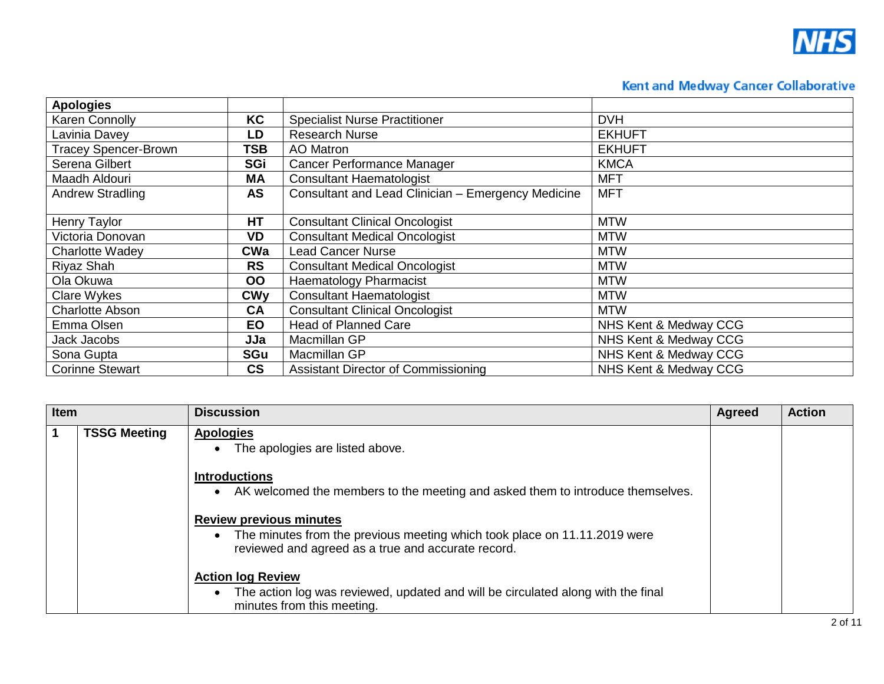

| <b>Apologies</b>            |                          |                                                    |                       |
|-----------------------------|--------------------------|----------------------------------------------------|-----------------------|
| <b>Karen Connolly</b>       | KC                       | <b>Specialist Nurse Practitioner</b>               | <b>DVH</b>            |
| Lavinia Davey               | LD                       | <b>Research Nurse</b>                              | <b>EKHUFT</b>         |
| <b>Tracey Spencer-Brown</b> | <b>TSB</b>               | AO Matron                                          | <b>EKHUFT</b>         |
| Serena Gilbert              | SGi                      | Cancer Performance Manager                         | <b>KMCA</b>           |
| Maadh Aldouri               | <b>MA</b>                | <b>Consultant Haematologist</b>                    | <b>MFT</b>            |
| <b>Andrew Stradling</b>     | <b>AS</b>                | Consultant and Lead Clinician - Emergency Medicine | <b>MFT</b>            |
|                             |                          |                                                    |                       |
| Henry Taylor                | HT                       | <b>Consultant Clinical Oncologist</b>              | <b>MTW</b>            |
| Victoria Donovan            | VD                       | <b>Consultant Medical Oncologist</b>               | <b>MTW</b>            |
| <b>Charlotte Wadey</b>      | <b>CWa</b>               | <b>Lead Cancer Nurse</b>                           | <b>MTW</b>            |
| Riyaz Shah                  | <b>RS</b>                | <b>Consultant Medical Oncologist</b>               | <b>MTW</b>            |
| Ola Okuwa                   | <b>OO</b>                | <b>Haematology Pharmacist</b>                      | <b>MTW</b>            |
| Clare Wykes                 | <b>CWy</b>               | <b>Consultant Haematologist</b>                    | <b>MTW</b>            |
| <b>Charlotte Abson</b>      | <b>CA</b>                | <b>Consultant Clinical Oncologist</b>              | <b>MTW</b>            |
| Emma Olsen                  | <b>EO</b>                | <b>Head of Planned Care</b>                        | NHS Kent & Medway CCG |
| Jack Jacobs                 | JJa                      | Macmillan GP                                       | NHS Kent & Medway CCG |
| Sona Gupta                  | <b>SGu</b>               | Macmillan GP                                       | NHS Kent & Medway CCG |
| <b>Corinne Stewart</b>      | $\mathsf{CS}\phantom{0}$ | <b>Assistant Director of Commissioning</b>         | NHS Kent & Medway CCG |

| Item |                     | <b>Discussion</b>                                                                                                                                                 | <b>Agreed</b> | <b>Action</b> |
|------|---------------------|-------------------------------------------------------------------------------------------------------------------------------------------------------------------|---------------|---------------|
| 1    | <b>TSSG Meeting</b> | <b>Apologies</b><br>The apologies are listed above.                                                                                                               |               |               |
|      |                     | <b>Introductions</b><br>AK welcomed the members to the meeting and asked them to introduce themselves.                                                            |               |               |
|      |                     | <b>Review previous minutes</b><br>The minutes from the previous meeting which took place on 11.11.2019 were<br>reviewed and agreed as a true and accurate record. |               |               |
|      |                     | <b>Action log Review</b><br>The action log was reviewed, updated and will be circulated along with the final<br>minutes from this meeting.                        |               |               |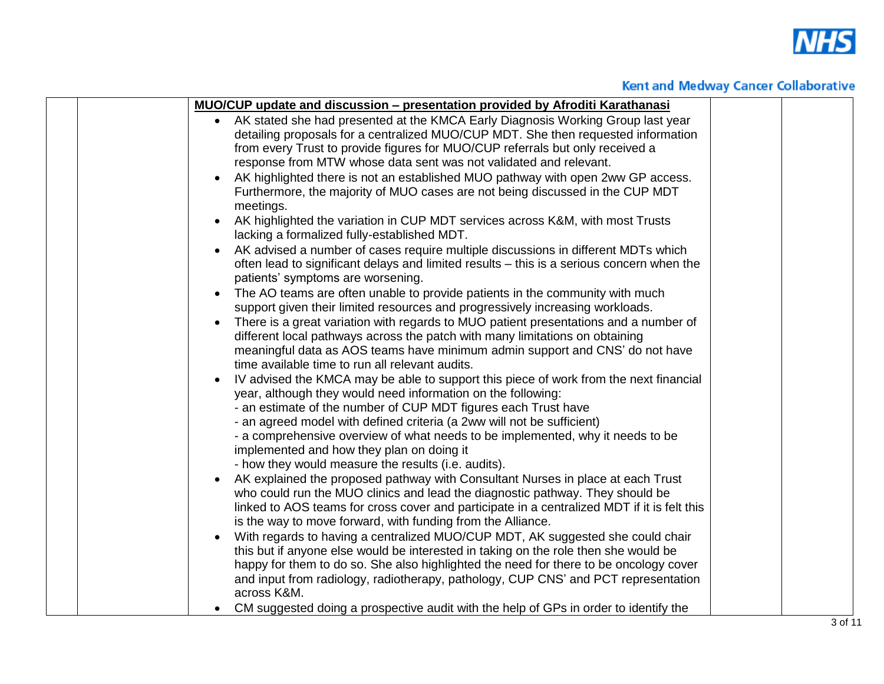

|  | <b>MUO/CUP update and discussion – presentation provided by Afroditi Karathanasi</b>                                                   |  |
|--|----------------------------------------------------------------------------------------------------------------------------------------|--|
|  | • AK stated she had presented at the KMCA Early Diagnosis Working Group last year                                                      |  |
|  | detailing proposals for a centralized MUO/CUP MDT. She then requested information                                                      |  |
|  | from every Trust to provide figures for MUO/CUP referrals but only received a                                                          |  |
|  | response from MTW whose data sent was not validated and relevant.                                                                      |  |
|  | AK highlighted there is not an established MUO pathway with open 2ww GP access.                                                        |  |
|  | Furthermore, the majority of MUO cases are not being discussed in the CUP MDT                                                          |  |
|  | meetings.                                                                                                                              |  |
|  | AK highlighted the variation in CUP MDT services across K&M, with most Trusts<br>lacking a formalized fully-established MDT.           |  |
|  | AK advised a number of cases require multiple discussions in different MDTs which                                                      |  |
|  | often lead to significant delays and limited results – this is a serious concern when the<br>patients' symptoms are worsening.         |  |
|  | The AO teams are often unable to provide patients in the community with much<br>$\bullet$                                              |  |
|  | support given their limited resources and progressively increasing workloads.                                                          |  |
|  | There is a great variation with regards to MUO patient presentations and a number of<br>$\bullet$                                      |  |
|  | different local pathways across the patch with many limitations on obtaining                                                           |  |
|  | meaningful data as AOS teams have minimum admin support and CNS' do not have                                                           |  |
|  | time available time to run all relevant audits.                                                                                        |  |
|  | IV advised the KMCA may be able to support this piece of work from the next financial                                                  |  |
|  | year, although they would need information on the following:                                                                           |  |
|  | - an estimate of the number of CUP MDT figures each Trust have                                                                         |  |
|  | - an agreed model with defined criteria (a 2ww will not be sufficient)                                                                 |  |
|  | - a comprehensive overview of what needs to be implemented, why it needs to be                                                         |  |
|  | implemented and how they plan on doing it                                                                                              |  |
|  | - how they would measure the results (i.e. audits).<br>AK explained the proposed pathway with Consultant Nurses in place at each Trust |  |
|  | who could run the MUO clinics and lead the diagnostic pathway. They should be                                                          |  |
|  | linked to AOS teams for cross cover and participate in a centralized MDT if it is felt this                                            |  |
|  | is the way to move forward, with funding from the Alliance.                                                                            |  |
|  | With regards to having a centralized MUO/CUP MDT, AK suggested she could chair<br>$\bullet$                                            |  |
|  | this but if anyone else would be interested in taking on the role then she would be                                                    |  |
|  | happy for them to do so. She also highlighted the need for there to be oncology cover                                                  |  |
|  | and input from radiology, radiotherapy, pathology, CUP CNS' and PCT representation                                                     |  |
|  | across K&M.                                                                                                                            |  |
|  | CM suggested doing a prospective audit with the help of GPs in order to identify the<br>$\bullet$                                      |  |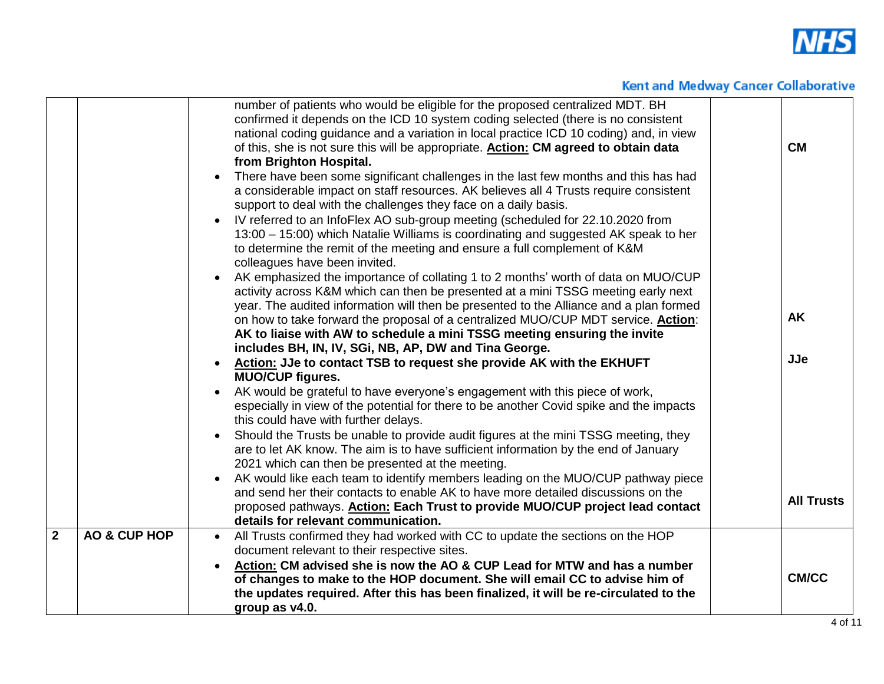

|                         |                         | number of patients who would be eligible for the proposed centralized MDT. BH<br>confirmed it depends on the ICD 10 system coding selected (there is no consistent<br>national coding guidance and a variation in local practice ICD 10 coding) and, in view<br>of this, she is not sure this will be appropriate. <b>Action: CM agreed to obtain data</b>                                                                                          | <b>CM</b>         |
|-------------------------|-------------------------|-----------------------------------------------------------------------------------------------------------------------------------------------------------------------------------------------------------------------------------------------------------------------------------------------------------------------------------------------------------------------------------------------------------------------------------------------------|-------------------|
|                         |                         | from Brighton Hospital.<br>There have been some significant challenges in the last few months and this has had<br>a considerable impact on staff resources. AK believes all 4 Trusts require consistent<br>support to deal with the challenges they face on a daily basis.<br>IV referred to an InfoFlex AO sub-group meeting (scheduled for 22.10.2020 from<br>13:00 - 15:00) which Natalie Williams is coordinating and suggested AK speak to her |                   |
|                         |                         | to determine the remit of the meeting and ensure a full complement of K&M<br>colleagues have been invited.<br>AK emphasized the importance of collating 1 to 2 months' worth of data on MUO/CUP<br>activity across K&M which can then be presented at a mini TSSG meeting early next<br>year. The audited information will then be presented to the Alliance and a plan formed                                                                      |                   |
|                         |                         | on how to take forward the proposal of a centralized MUO/CUP MDT service. <b>Action:</b><br>AK to liaise with AW to schedule a mini TSSG meeting ensuring the invite<br>includes BH, IN, IV, SGi, NB, AP, DW and Tina George.                                                                                                                                                                                                                       | <b>AK</b>         |
|                         |                         | Action: JJe to contact TSB to request she provide AK with the EKHUFT<br><b>MUO/CUP figures.</b><br>AK would be grateful to have everyone's engagement with this piece of work,                                                                                                                                                                                                                                                                      | <b>JJe</b>        |
|                         |                         | especially in view of the potential for there to be another Covid spike and the impacts<br>this could have with further delays.                                                                                                                                                                                                                                                                                                                     |                   |
|                         |                         | Should the Trusts be unable to provide audit figures at the mini TSSG meeting, they<br>are to let AK know. The aim is to have sufficient information by the end of January<br>2021 which can then be presented at the meeting.                                                                                                                                                                                                                      |                   |
|                         |                         | AK would like each team to identify members leading on the MUO/CUP pathway piece<br>and send her their contacts to enable AK to have more detailed discussions on the<br>proposed pathways. Action: Each Trust to provide MUO/CUP project lead contact<br>details for relevant communication.                                                                                                                                                       | <b>All Trusts</b> |
| $\overline{\mathbf{2}}$ | <b>AO &amp; CUP HOP</b> | All Trusts confirmed they had worked with CC to update the sections on the HOP<br>$\bullet$<br>document relevant to their respective sites.                                                                                                                                                                                                                                                                                                         |                   |
|                         |                         | Action: CM advised she is now the AO & CUP Lead for MTW and has a number<br>of changes to make to the HOP document. She will email CC to advise him of<br>the updates required. After this has been finalized, it will be re-circulated to the<br>group as v4.0.                                                                                                                                                                                    | <b>CM/CC</b>      |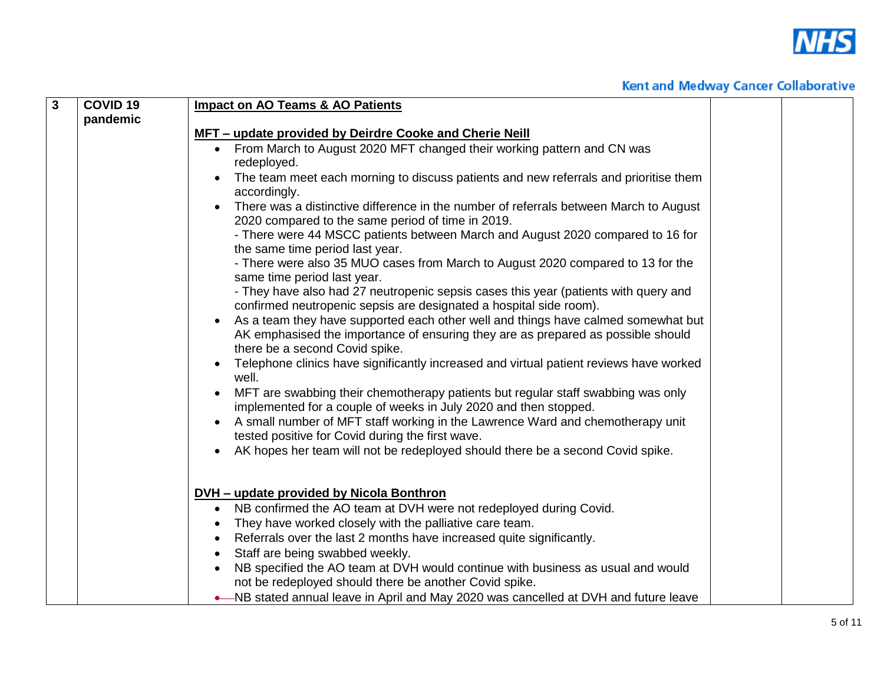

| $\mathbf{3}$ | <b>COVID 19</b> | <b>Impact on AO Teams &amp; AO Patients</b>                                                                                                                                                             |  |
|--------------|-----------------|---------------------------------------------------------------------------------------------------------------------------------------------------------------------------------------------------------|--|
|              | pandemic        |                                                                                                                                                                                                         |  |
|              |                 | MFT - update provided by Deirdre Cooke and Cherie Neill                                                                                                                                                 |  |
|              |                 | • From March to August 2020 MFT changed their working pattern and CN was                                                                                                                                |  |
|              |                 | redeployed.                                                                                                                                                                                             |  |
|              |                 | The team meet each morning to discuss patients and new referrals and prioritise them<br>accordingly.                                                                                                    |  |
|              |                 | There was a distinctive difference in the number of referrals between March to August<br>2020 compared to the same period of time in 2019.                                                              |  |
|              |                 | - There were 44 MSCC patients between March and August 2020 compared to 16 for<br>the same time period last year.                                                                                       |  |
|              |                 | - There were also 35 MUO cases from March to August 2020 compared to 13 for the<br>same time period last year.                                                                                          |  |
|              |                 | - They have also had 27 neutropenic sepsis cases this year (patients with query and<br>confirmed neutropenic sepsis are designated a hospital side room).                                               |  |
|              |                 | As a team they have supported each other well and things have calmed somewhat but<br>AK emphasised the importance of ensuring they are as prepared as possible should<br>there be a second Covid spike. |  |
|              |                 | Telephone clinics have significantly increased and virtual patient reviews have worked<br>well.                                                                                                         |  |
|              |                 | MFT are swabbing their chemotherapy patients but regular staff swabbing was only                                                                                                                        |  |
|              |                 | implemented for a couple of weeks in July 2020 and then stopped.                                                                                                                                        |  |
|              |                 | A small number of MFT staff working in the Lawrence Ward and chemotherapy unit                                                                                                                          |  |
|              |                 | tested positive for Covid during the first wave.                                                                                                                                                        |  |
|              |                 | AK hopes her team will not be redeployed should there be a second Covid spike.                                                                                                                          |  |
|              |                 | <b>DVH</b> – update provided by Nicola Bonthron                                                                                                                                                         |  |
|              |                 | NB confirmed the AO team at DVH were not redeployed during Covid.<br>$\bullet$                                                                                                                          |  |
|              |                 | They have worked closely with the palliative care team.                                                                                                                                                 |  |
|              |                 | Referrals over the last 2 months have increased quite significantly.                                                                                                                                    |  |
|              |                 | Staff are being swabbed weekly.                                                                                                                                                                         |  |
|              |                 | NB specified the AO team at DVH would continue with business as usual and would                                                                                                                         |  |
|              |                 | not be redeployed should there be another Covid spike.                                                                                                                                                  |  |
|              |                 | -NB stated annual leave in April and May 2020 was cancelled at DVH and future leave                                                                                                                     |  |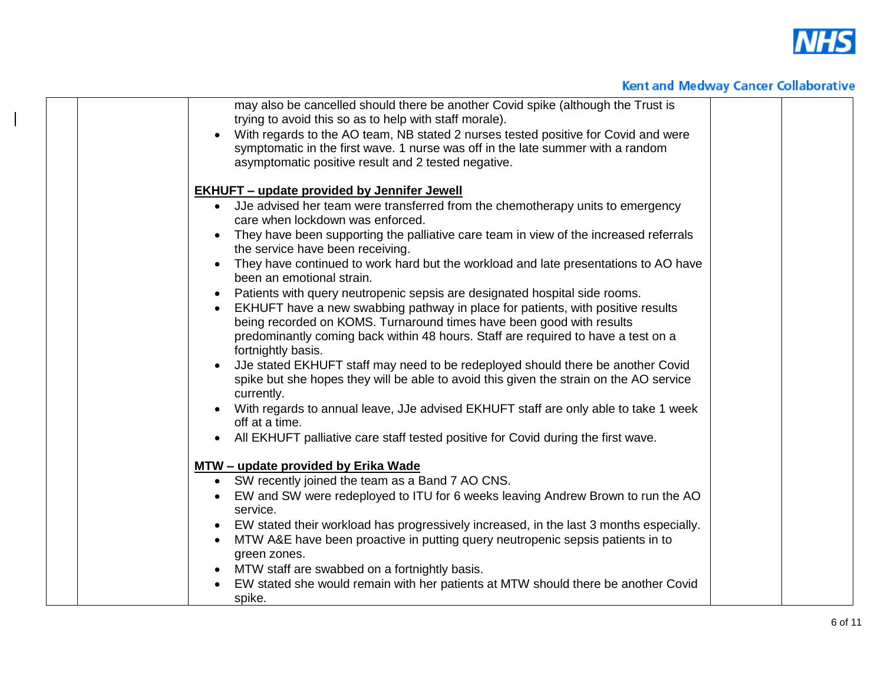

|  | may also be cancelled should there be another Covid spike (although the Trust is               |  |
|--|------------------------------------------------------------------------------------------------|--|
|  | trying to avoid this so as to help with staff morale).                                         |  |
|  | With regards to the AO team, NB stated 2 nurses tested positive for Covid and were             |  |
|  | symptomatic in the first wave. 1 nurse was off in the late summer with a random                |  |
|  | asymptomatic positive result and 2 tested negative.                                            |  |
|  | <b>EKHUFT - update provided by Jennifer Jewell</b>                                             |  |
|  | • JJe advised her team were transferred from the chemotherapy units to emergency               |  |
|  | care when lockdown was enforced.                                                               |  |
|  | They have been supporting the palliative care team in view of the increased referrals          |  |
|  | the service have been receiving.                                                               |  |
|  | They have continued to work hard but the workload and late presentations to AO have            |  |
|  | been an emotional strain.                                                                      |  |
|  | Patients with query neutropenic sepsis are designated hospital side rooms.                     |  |
|  | EKHUFT have a new swabbing pathway in place for patients, with positive results<br>$\bullet$   |  |
|  | being recorded on KOMS. Turnaround times have been good with results                           |  |
|  | predominantly coming back within 48 hours. Staff are required to have a test on a              |  |
|  | fortnightly basis.                                                                             |  |
|  | JJe stated EKHUFT staff may need to be redeployed should there be another Covid                |  |
|  | spike but she hopes they will be able to avoid this given the strain on the AO service         |  |
|  | currently.                                                                                     |  |
|  | With regards to annual leave, JJe advised EKHUFT staff are only able to take 1 week            |  |
|  | off at a time.                                                                                 |  |
|  | All EKHUFT palliative care staff tested positive for Covid during the first wave.<br>$\bullet$ |  |
|  | MTW - update provided by Erika Wade                                                            |  |
|  | • SW recently joined the team as a Band 7 AO CNS.                                              |  |
|  | EW and SW were redeployed to ITU for 6 weeks leaving Andrew Brown to run the AO<br>$\bullet$   |  |
|  | service.                                                                                       |  |
|  | EW stated their workload has progressively increased, in the last 3 months especially.         |  |
|  | MTW A&E have been proactive in putting query neutropenic sepsis patients in to<br>$\bullet$    |  |
|  | green zones.                                                                                   |  |
|  | MTW staff are swabbed on a fortnightly basis.<br>$\bullet$                                     |  |
|  | EW stated she would remain with her patients at MTW should there be another Covid              |  |
|  | spike.                                                                                         |  |

 $\overline{\phantom{a}}$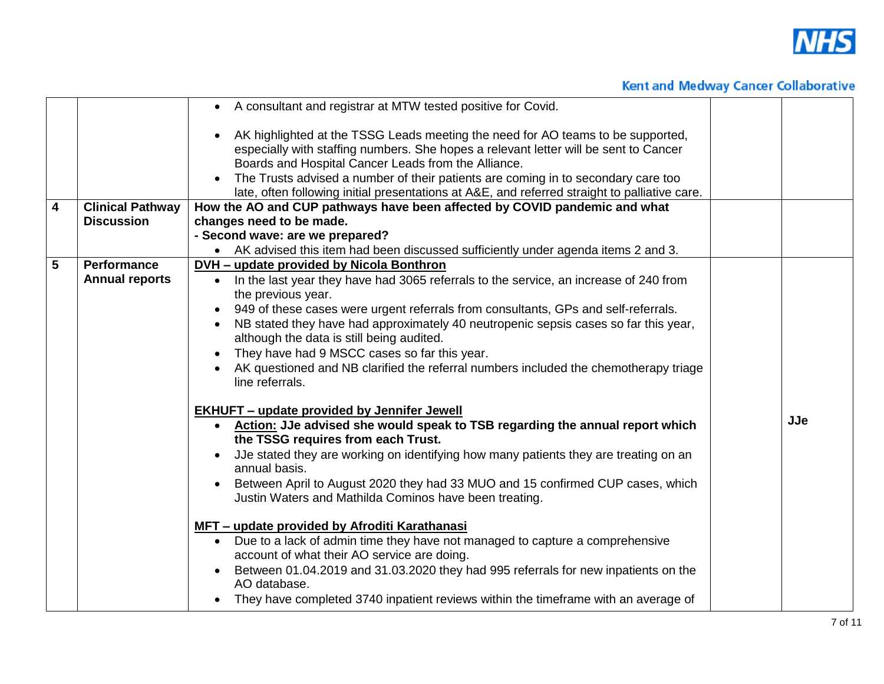

|                         |                                             | • A consultant and registrar at MTW tested positive for Covid.                                                                                                                                                                                                                                                                                                                                                                                                                                                                                                                                                                                                                                          |            |
|-------------------------|---------------------------------------------|---------------------------------------------------------------------------------------------------------------------------------------------------------------------------------------------------------------------------------------------------------------------------------------------------------------------------------------------------------------------------------------------------------------------------------------------------------------------------------------------------------------------------------------------------------------------------------------------------------------------------------------------------------------------------------------------------------|------------|
|                         |                                             | AK highlighted at the TSSG Leads meeting the need for AO teams to be supported,<br>especially with staffing numbers. She hopes a relevant letter will be sent to Cancer<br>Boards and Hospital Cancer Leads from the Alliance.                                                                                                                                                                                                                                                                                                                                                                                                                                                                          |            |
|                         |                                             | The Trusts advised a number of their patients are coming in to secondary care too                                                                                                                                                                                                                                                                                                                                                                                                                                                                                                                                                                                                                       |            |
|                         |                                             | late, often following initial presentations at A&E, and referred straight to palliative care.                                                                                                                                                                                                                                                                                                                                                                                                                                                                                                                                                                                                           |            |
| $\overline{\mathbf{4}}$ | <b>Clinical Pathway</b>                     | How the AO and CUP pathways have been affected by COVID pandemic and what                                                                                                                                                                                                                                                                                                                                                                                                                                                                                                                                                                                                                               |            |
|                         | <b>Discussion</b>                           | changes need to be made.                                                                                                                                                                                                                                                                                                                                                                                                                                                                                                                                                                                                                                                                                |            |
|                         |                                             | - Second wave: are we prepared?                                                                                                                                                                                                                                                                                                                                                                                                                                                                                                                                                                                                                                                                         |            |
|                         |                                             | • AK advised this item had been discussed sufficiently under agenda items 2 and 3.                                                                                                                                                                                                                                                                                                                                                                                                                                                                                                                                                                                                                      |            |
| $5\phantom{.0}$         | <b>Performance</b><br><b>Annual reports</b> | DVH - update provided by Nicola Bonthron<br>• In the last year they have had 3065 referrals to the service, an increase of 240 from<br>the previous year.<br>949 of these cases were urgent referrals from consultants, GPs and self-referrals.<br>NB stated they have had approximately 40 neutropenic sepsis cases so far this year,<br>although the data is still being audited.<br>They have had 9 MSCC cases so far this year.<br>AK questioned and NB clarified the referral numbers included the chemotherapy triage<br>line referrals.                                                                                                                                                          |            |
|                         |                                             | <b>EKHUFT</b> – update provided by Jennifer Jewell<br>• Action: JJe advised she would speak to TSB regarding the annual report which<br>the TSSG requires from each Trust.<br>Use stated they are working on identifying how many patients they are treating on an<br>annual basis.<br>Between April to August 2020 they had 33 MUO and 15 confirmed CUP cases, which<br>Justin Waters and Mathilda Cominos have been treating.<br>MFT - update provided by Afroditi Karathanasi<br>• Due to a lack of admin time they have not managed to capture a comprehensive<br>account of what their AO service are doing.<br>Between 01.04.2019 and 31.03.2020 they had 995 referrals for new inpatients on the | <b>JJe</b> |
|                         |                                             | AO database.<br>They have completed 3740 inpatient reviews within the timeframe with an average of                                                                                                                                                                                                                                                                                                                                                                                                                                                                                                                                                                                                      |            |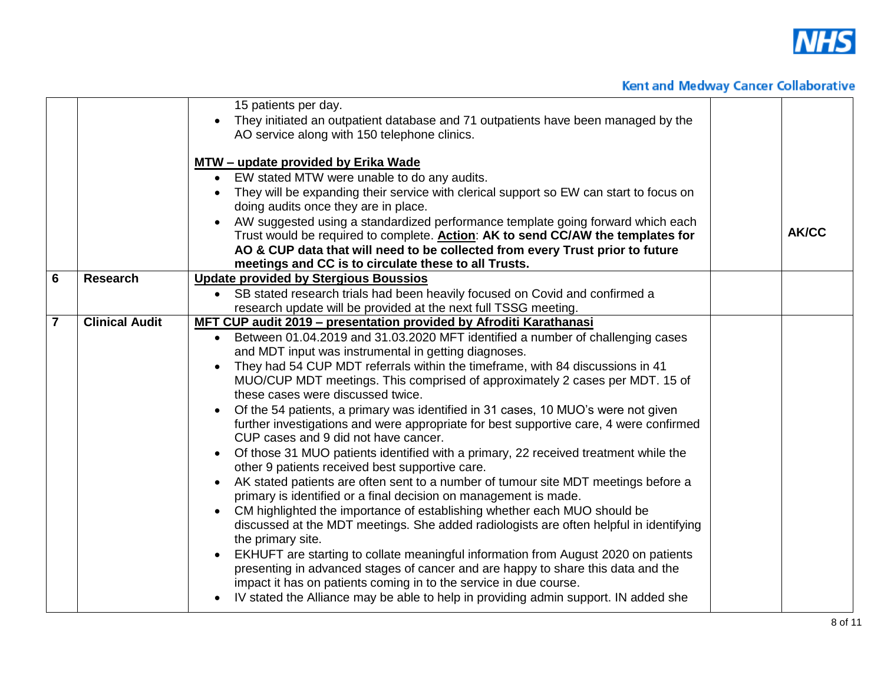

|                |                       | 15 patients per day.<br>They initiated an outpatient database and 71 outpatients have been managed by the                                                                                                                                                                                                                                                                                                                                                                                                                                                                                                                                                                                                                                                                                                                                                                                                                                                                                                                                                                                                                                                                                                                                                                                                                                                                                                                                                                                   |              |
|----------------|-----------------------|---------------------------------------------------------------------------------------------------------------------------------------------------------------------------------------------------------------------------------------------------------------------------------------------------------------------------------------------------------------------------------------------------------------------------------------------------------------------------------------------------------------------------------------------------------------------------------------------------------------------------------------------------------------------------------------------------------------------------------------------------------------------------------------------------------------------------------------------------------------------------------------------------------------------------------------------------------------------------------------------------------------------------------------------------------------------------------------------------------------------------------------------------------------------------------------------------------------------------------------------------------------------------------------------------------------------------------------------------------------------------------------------------------------------------------------------------------------------------------------------|--------------|
|                |                       | AO service along with 150 telephone clinics.                                                                                                                                                                                                                                                                                                                                                                                                                                                                                                                                                                                                                                                                                                                                                                                                                                                                                                                                                                                                                                                                                                                                                                                                                                                                                                                                                                                                                                                |              |
|                |                       | MTW - update provided by Erika Wade<br>EW stated MTW were unable to do any audits.<br>They will be expanding their service with clerical support so EW can start to focus on<br>doing audits once they are in place.<br>AW suggested using a standardized performance template going forward which each<br>Trust would be required to complete. Action: AK to send CC/AW the templates for<br>AO & CUP data that will need to be collected from every Trust prior to future<br>meetings and CC is to circulate these to all Trusts.                                                                                                                                                                                                                                                                                                                                                                                                                                                                                                                                                                                                                                                                                                                                                                                                                                                                                                                                                         | <b>AK/CC</b> |
| 6              | <b>Research</b>       | <b>Update provided by Stergious Boussios</b><br>SB stated research trials had been heavily focused on Covid and confirmed a<br>$\bullet$                                                                                                                                                                                                                                                                                                                                                                                                                                                                                                                                                                                                                                                                                                                                                                                                                                                                                                                                                                                                                                                                                                                                                                                                                                                                                                                                                    |              |
|                |                       | research update will be provided at the next full TSSG meeting.                                                                                                                                                                                                                                                                                                                                                                                                                                                                                                                                                                                                                                                                                                                                                                                                                                                                                                                                                                                                                                                                                                                                                                                                                                                                                                                                                                                                                             |              |
| $\overline{7}$ | <b>Clinical Audit</b> | MFT CUP audit 2019 - presentation provided by Afroditi Karathanasi<br>Between 01.04.2019 and 31.03.2020 MFT identified a number of challenging cases<br>$\bullet$<br>and MDT input was instrumental in getting diagnoses.<br>They had 54 CUP MDT referrals within the timeframe, with 84 discussions in 41<br>MUO/CUP MDT meetings. This comprised of approximately 2 cases per MDT. 15 of<br>these cases were discussed twice.<br>Of the 54 patients, a primary was identified in 31 cases, 10 MUO's were not given<br>further investigations and were appropriate for best supportive care, 4 were confirmed<br>CUP cases and 9 did not have cancer.<br>Of those 31 MUO patients identified with a primary, 22 received treatment while the<br>other 9 patients received best supportive care.<br>AK stated patients are often sent to a number of tumour site MDT meetings before a<br>primary is identified or a final decision on management is made.<br>CM highlighted the importance of establishing whether each MUO should be<br>discussed at the MDT meetings. She added radiologists are often helpful in identifying<br>the primary site.<br>EKHUFT are starting to collate meaningful information from August 2020 on patients<br>presenting in advanced stages of cancer and are happy to share this data and the<br>impact it has on patients coming in to the service in due course.<br>IV stated the Alliance may be able to help in providing admin support. IN added she |              |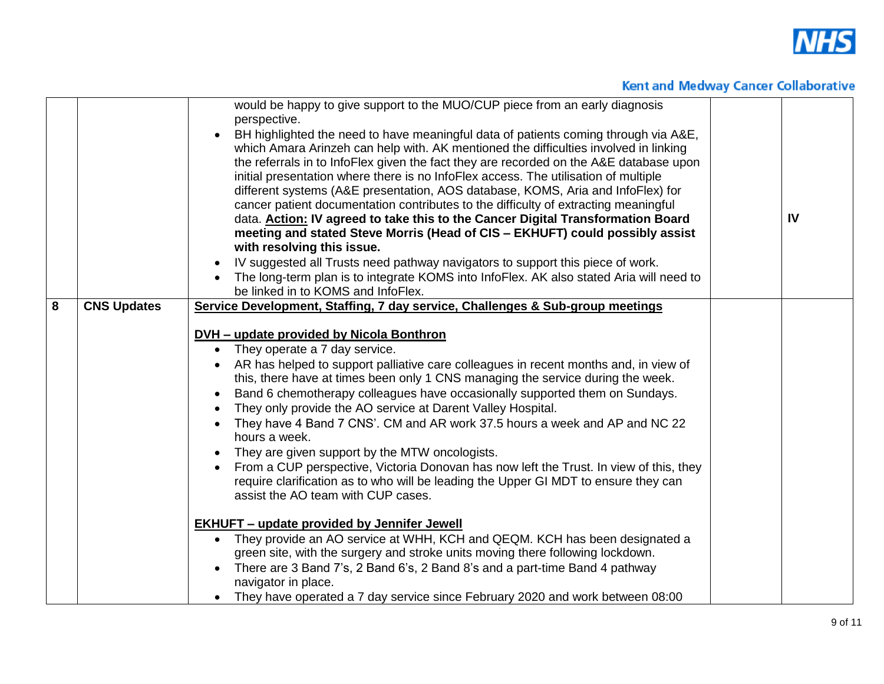

|   |                    | would be happy to give support to the MUO/CUP piece from an early diagnosis<br>perspective.<br>BH highlighted the need to have meaningful data of patients coming through via A&E,<br>which Amara Arinzeh can help with. AK mentioned the difficulties involved in linking<br>the referrals in to InfoFlex given the fact they are recorded on the A&E database upon<br>initial presentation where there is no InfoFlex access. The utilisation of multiple<br>different systems (A&E presentation, AOS database, KOMS, Aria and InfoFlex) for<br>cancer patient documentation contributes to the difficulty of extracting meaningful<br>data. <b>Action: IV agreed to take this to the Cancer Digital Transformation Board</b><br>meeting and stated Steve Morris (Head of CIS - EKHUFT) could possibly assist<br>with resolving this issue.<br>IV suggested all Trusts need pathway navigators to support this piece of work.<br>The long-term plan is to integrate KOMS into InfoFlex. AK also stated Aria will need to<br>be linked in to KOMS and InfoFlex.                                                                                                                                                                                                                             | IV |
|---|--------------------|----------------------------------------------------------------------------------------------------------------------------------------------------------------------------------------------------------------------------------------------------------------------------------------------------------------------------------------------------------------------------------------------------------------------------------------------------------------------------------------------------------------------------------------------------------------------------------------------------------------------------------------------------------------------------------------------------------------------------------------------------------------------------------------------------------------------------------------------------------------------------------------------------------------------------------------------------------------------------------------------------------------------------------------------------------------------------------------------------------------------------------------------------------------------------------------------------------------------------------------------------------------------------------------------|----|
| 8 | <b>CNS Updates</b> | Service Development, Staffing, 7 day service, Challenges & Sub-group meetings<br><b>DVH</b> – update provided by Nicola Bonthron<br>They operate a 7 day service.<br>$\bullet$<br>AR has helped to support palliative care colleagues in recent months and, in view of<br>this, there have at times been only 1 CNS managing the service during the week.<br>Band 6 chemotherapy colleagues have occasionally supported them on Sundays.<br>They only provide the AO service at Darent Valley Hospital.<br>They have 4 Band 7 CNS'. CM and AR work 37.5 hours a week and AP and NC 22<br>hours a week.<br>They are given support by the MTW oncologists.<br>From a CUP perspective, Victoria Donovan has now left the Trust. In view of this, they<br>require clarification as to who will be leading the Upper GI MDT to ensure they can<br>assist the AO team with CUP cases.<br><b>EKHUFT - update provided by Jennifer Jewell</b><br>They provide an AO service at WHH, KCH and QEQM. KCH has been designated a<br>green site, with the surgery and stroke units moving there following lockdown.<br>There are 3 Band 7's, 2 Band 6's, 2 Band 8's and a part-time Band 4 pathway<br>navigator in place.<br>They have operated a 7 day service since February 2020 and work between 08:00 |    |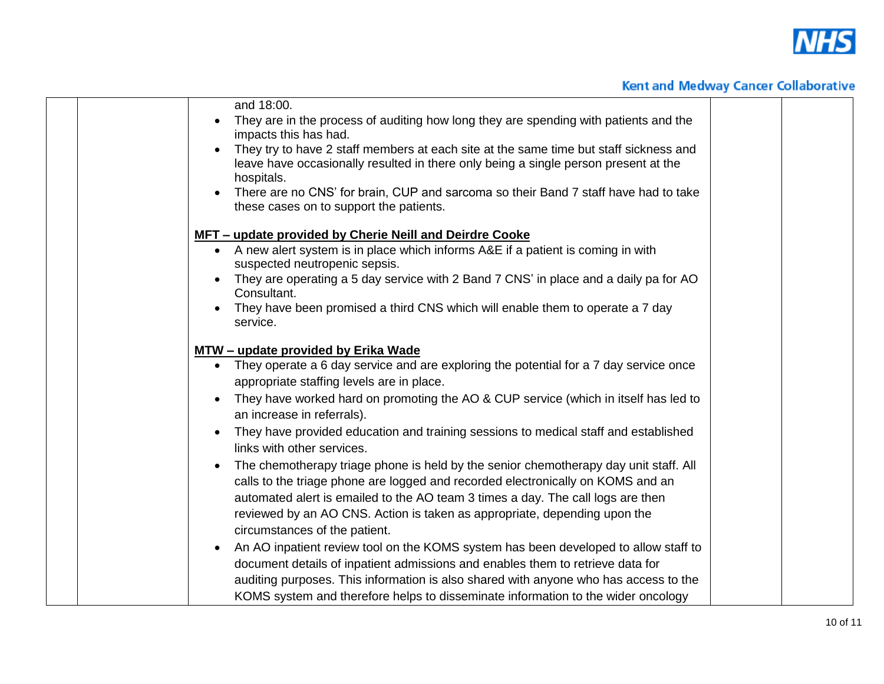

| and 18:00.                                                                                                                                                                                 |  |
|--------------------------------------------------------------------------------------------------------------------------------------------------------------------------------------------|--|
| They are in the process of auditing how long they are spending with patients and the<br>impacts this has had.                                                                              |  |
| They try to have 2 staff members at each site at the same time but staff sickness and<br>leave have occasionally resulted in there only being a single person present at the<br>hospitals. |  |
| There are no CNS' for brain, CUP and sarcoma so their Band 7 staff have had to take<br>these cases on to support the patients.                                                             |  |
| MFT – update provided by Cherie Neill and Deirdre Cooke                                                                                                                                    |  |
| • A new alert system is in place which informs A&E if a patient is coming in with<br>suspected neutropenic sepsis.                                                                         |  |
| They are operating a 5 day service with 2 Band 7 CNS' in place and a daily pa for AO<br>Consultant.                                                                                        |  |
| They have been promised a third CNS which will enable them to operate a 7 day<br>service.                                                                                                  |  |
| MTW - update provided by Erika Wade                                                                                                                                                        |  |
| • They operate a 6 day service and are exploring the potential for a 7 day service once                                                                                                    |  |
| appropriate staffing levels are in place.                                                                                                                                                  |  |
| They have worked hard on promoting the AO & CUP service (which in itself has led to<br>an increase in referrals).                                                                          |  |
| They have provided education and training sessions to medical staff and established<br>links with other services.                                                                          |  |
| The chemotherapy triage phone is held by the senior chemotherapy day unit staff. All                                                                                                       |  |
| calls to the triage phone are logged and recorded electronically on KOMS and an                                                                                                            |  |
| automated alert is emailed to the AO team 3 times a day. The call logs are then                                                                                                            |  |
| reviewed by an AO CNS. Action is taken as appropriate, depending upon the                                                                                                                  |  |
| circumstances of the patient.                                                                                                                                                              |  |
| An AO inpatient review tool on the KOMS system has been developed to allow staff to                                                                                                        |  |
| document details of inpatient admissions and enables them to retrieve data for                                                                                                             |  |
| auditing purposes. This information is also shared with anyone who has access to the                                                                                                       |  |
| KOMS system and therefore helps to disseminate information to the wider oncology                                                                                                           |  |